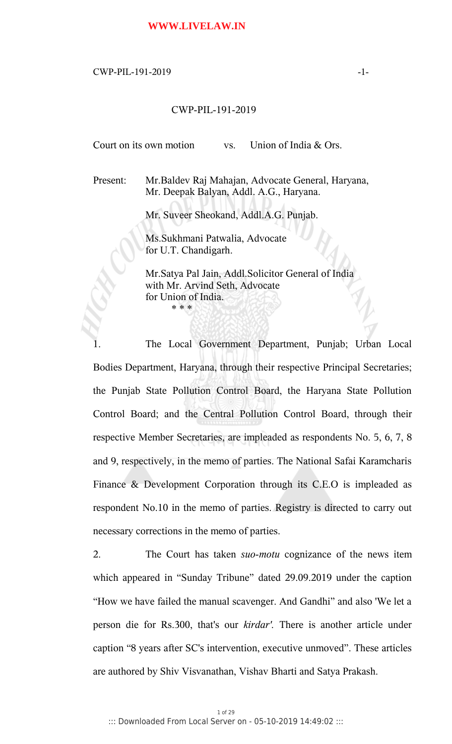# **WWW.LIVELAW.IN**

# $CWP-PIL-191-2019$   $-1-$

# CWP-PIL-191-2019

Court on its own motion vs. Union of India & Ors.

Present: Mr.Baldev Raj Mahajan, Advocate General, Haryana, Mr. Deepak Balyan, Addl. A.G., Haryana.

Mr. Suveer Sheokand, Addl.A.G. Punjab.

Ms.Sukhmani Patwalia, Advocate for U.T. Chandigarh.

Mr.Satya Pal Jain, Addl.Solicitor General of India with Mr. Arvind Seth, Advocate for Union of India. \* \* \*

1. The Local Government Department, Punjab; Urban Local Bodies Department, Haryana, through their respective Principal Secretaries; the Punjab State Pollution Control Board, the Haryana State Pollution Control Board; and the Central Pollution Control Board, through their respective Member Secretaries, are impleaded as respondents No. 5, 6, 7, 8 and 9, respectively, in the memo of parties. The National Safai Karamcharis Finance & Development Corporation through its C.E.O is impleaded as respondent No.10 in the memo of parties. Registry is directed to carry out necessary corrections in the memo of parties.

2. The Court has taken *suo-motu* cognizance of the news item which appeared in "Sunday Tribune" dated 29.09.2019 under the caption "How we have failed the manual scavenger. And Gandhi" and also 'We let a person die for Rs.300, that's our *kirdar'.* There is another article under caption "8 years after SC's intervention, executive unmoved". These articles are authored by Shiv Visvanathan, Vishav Bharti and Satya Prakash.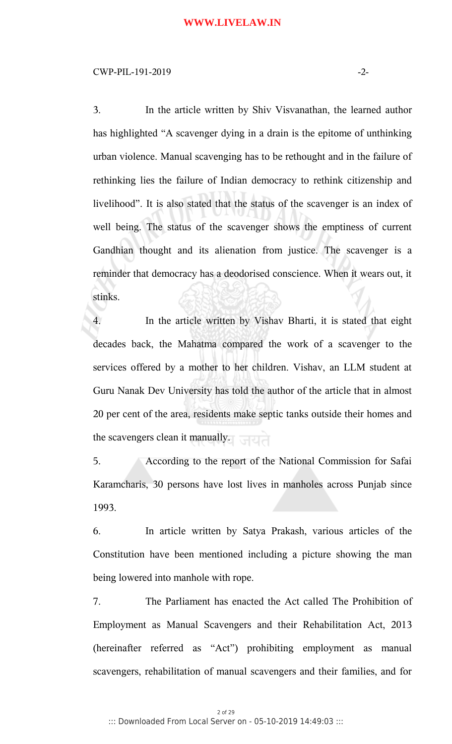### $CWP-PIL-191-2019$   $-2-$

3. In the article written by Shiv Visvanathan, the learned author has highlighted "A scavenger dying in a drain is the epitome of unthinking urban violence. Manual scavenging has to be rethought and in the failure of rethinking lies the failure of Indian democracy to rethink citizenship and livelihood". It is also stated that the status of the scavenger is an index of well being. The status of the scavenger shows the emptiness of current Gandhian thought and its alienation from justice. The scavenger is a reminder that democracy has a deodorised conscience. When it wears out, it stinks.

4. In the article written by Vishav Bharti, it is stated that eight decades back, the Mahatma compared the work of a scavenger to the services offered by a mother to her children. Vishav, an LLM student at Guru Nanak Dev University has told the author of the article that in almost 20 per cent of the area, residents make septic tanks outside their homes and the scavengers clean it manually.

5. According to the report of the National Commission for Safai Karamcharis, 30 persons have lost lives in manholes across Punjab since 1993.

6. In article written by Satya Prakash, various articles of the Constitution have been mentioned including a picture showing the man being lowered into manhole with rope.

7. The Parliament has enacted the Act called The Prohibition of Employment as Manual Scavengers and their Rehabilitation Act, 2013 (hereinafter referred as "Act") prohibiting employment as manual scavengers, rehabilitation of manual scavengers and their families, and for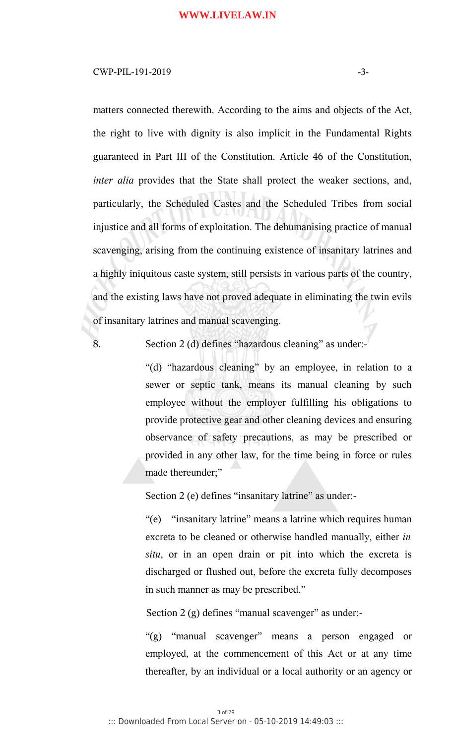### $CWP-PIL-191-2019$   $-3-$

matters connected therewith. According to the aims and objects of the Act, the right to live with dignity is also implicit in the Fundamental Rights guaranteed in Part III of the Constitution. Article 46 of the Constitution, *inter alia* provides that the State shall protect the weaker sections, and, particularly, the Scheduled Castes and the Scheduled Tribes from social injustice and all forms of exploitation. The dehumanising practice of manual scavenging, arising from the continuing existence of insanitary latrines and a highly iniquitous caste system, still persists in various parts of the country, and the existing laws have not proved adequate in eliminating the twin evils of insanitary latrines and manual scavenging.

8. Section 2 (d) defines "hazardous cleaning" as under:-

"(d) "hazardous cleaning" by an employee, in relation to a sewer or septic tank, means its manual cleaning by such employee without the employer fulfilling his obligations to provide protective gear and other cleaning devices and ensuring observance of safety precautions, as may be prescribed or provided in any other law, for the time being in force or rules made thereunder;"

Section 2 (e) defines "insanitary latrine" as under:-

"(e) "insanitary latrine" means a latrine which requires human excreta to be cleaned or otherwise handled manually, either *in situ*, or in an open drain or pit into which the excreta is discharged or flushed out, before the excreta fully decomposes in such manner as may be prescribed."

Section 2 (g) defines "manual scavenger" as under:-

"(g) "manual scavenger" means a person engaged or employed, at the commencement of this Act or at any time thereafter, by an individual or a local authority or an agency or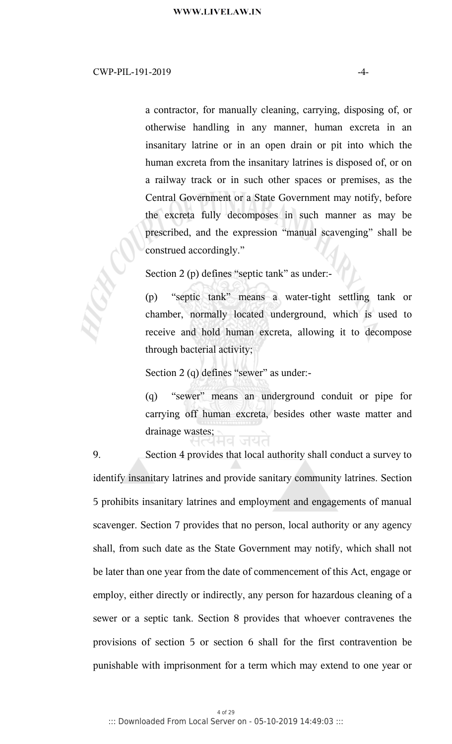a contractor, for manually cleaning, carrying, disposing of, or otherwise handling in any manner, human excreta in an insanitary latrine or in an open drain or pit into which the human excreta from the insanitary latrines is disposed of, or on a railway track or in such other spaces or premises, as the Central Government or a State Government may notify, before the excreta fully decomposes in such manner as may be prescribed, and the expression "manual scavenging" shall be construed accordingly."

Section 2 (p) defines "septic tank" as under:-

(p) "septic tank" means a water-tight settling tank or chamber, normally located underground, which is used to receive and hold human excreta, allowing it to decompose through bacterial activity;

Section 2 (q) defines "sewer" as under:-

(q) "sewer" means an underground conduit or pipe for carrying off human excreta, besides other waste matter and drainage wastes;

9. Section 4 provides that local authority shall conduct a survey to identify insanitary latrines and provide sanitary community latrines. Section 5 prohibits insanitary latrines and employment and engagements of manual scavenger. Section 7 provides that no person, local authority or any agency shall, from such date as the State Government may notify, which shall not be later than one year from the date of commencement of this Act, engage or employ, either directly or indirectly, any person for hazardous cleaning of a sewer or a septic tank. Section 8 provides that whoever contravenes the provisions of section 5 or section 6 shall for the first contravention be punishable with imprisonment for a term which may extend to one year or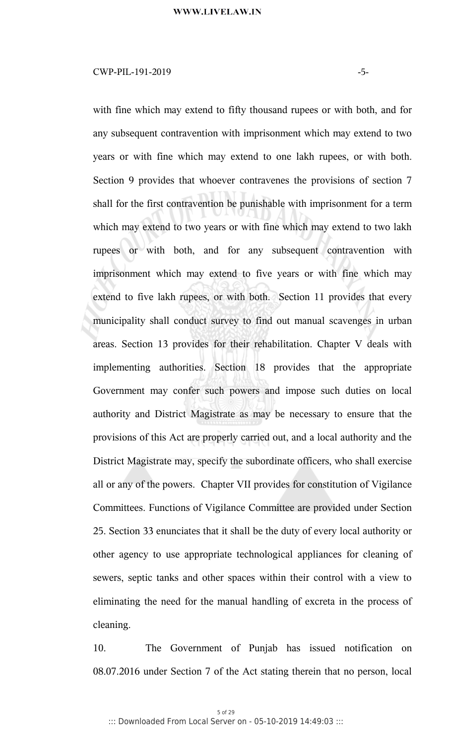# $CWP-PIL-191-2019$   $-5-$

with fine which may extend to fifty thousand rupees or with both, and for any subsequent contravention with imprisonment which may extend to two years or with fine which may extend to one lakh rupees, or with both. Section 9 provides that whoever contravenes the provisions of section 7 shall for the first contravention be punishable with imprisonment for a term which may extend to two years or with fine which may extend to two lakh rupees or with both, and for any subsequent contravention with imprisonment which may extend to five years or with fine which may extend to five lakh rupees, or with both. Section 11 provides that every municipality shall conduct survey to find out manual scavenges in urban areas. Section 13 provides for their rehabilitation. Chapter V deals with implementing authorities. Section 18 provides that the appropriate Government may confer such powers and impose such duties on local authority and District Magistrate as may be necessary to ensure that the provisions of this Act are properly carried out, and a local authority and the District Magistrate may, specify the subordinate officers, who shall exercise all or any of the powers. Chapter VII provides for constitution of Vigilance Committees. Functions of Vigilance Committee are provided under Section 25. Section 33 enunciates that it shall be the duty of every local authority or other agency to use appropriate technological appliances for cleaning of sewers, septic tanks and other spaces within their control with a view to eliminating the need for the manual handling of excreta in the process of cleaning.

10. The Government of Punjab has issued notification on 08.07.2016 under Section 7 of the Act stating therein that no person, local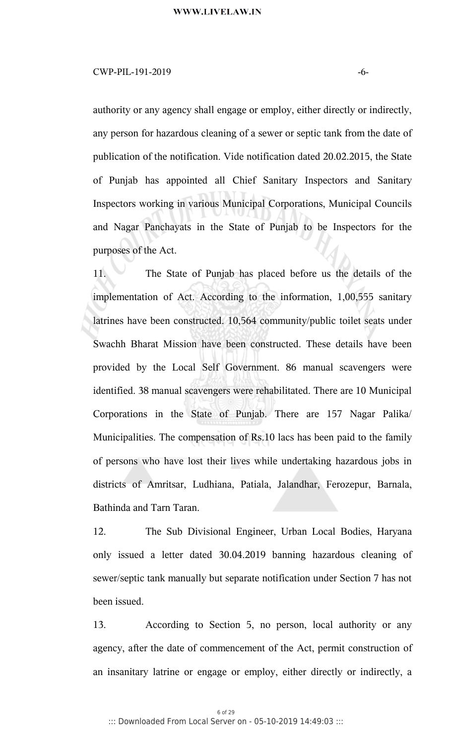### $CWP-PIL-191-2019$   $-6-$

authority or any agency shall engage or employ, either directly or indirectly, any person for hazardous cleaning of a sewer or septic tank from the date of publication of the notification. Vide notification dated 20.02.2015, the State of Punjab has appointed all Chief Sanitary Inspectors and Sanitary Inspectors working in various Municipal Corporations, Municipal Councils and Nagar Panchayats in the State of Punjab to be Inspectors for the purposes of the Act.

11. The State of Punjab has placed before us the details of the implementation of Act. According to the information, 1,00,555 sanitary latrines have been constructed. 10,564 community/public toilet seats under Swachh Bharat Mission have been constructed. These details have been provided by the Local Self Government. 86 manual scavengers were identified. 38 manual scavengers were rehabilitated. There are 10 Municipal Corporations in the State of Punjab. There are 157 Nagar Palika/ Municipalities. The compensation of Rs.10 lacs has been paid to the family of persons who have lost their lives while undertaking hazardous jobs in districts of Amritsar, Ludhiana, Patiala, Jalandhar, Ferozepur, Barnala, Bathinda and Tarn Taran.

12. The Sub Divisional Engineer, Urban Local Bodies, Haryana only issued a letter dated 30.04.2019 banning hazardous cleaning of sewer/septic tank manually but separate notification under Section 7 has not been issued.

13. According to Section 5, no person, local authority or any agency, after the date of commencement of the Act, permit construction of an insanitary latrine or engage or employ, either directly or indirectly, a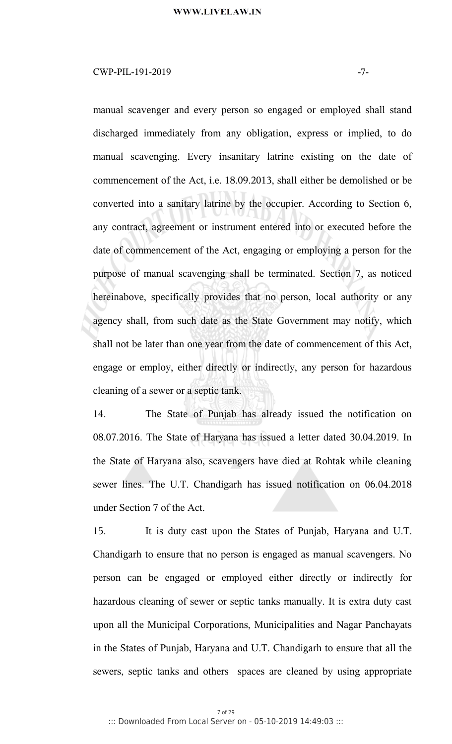# $CWP-PIL-191-2019$   $-7-$

manual scavenger and every person so engaged or employed shall stand discharged immediately from any obligation, express or implied, to do manual scavenging. Every insanitary latrine existing on the date of commencement of the Act, i.e. 18.09.2013, shall either be demolished or be converted into a sanitary latrine by the occupier. According to Section 6, any contract, agreement or instrument entered into or executed before the date of commencement of the Act, engaging or employing a person for the purpose of manual scavenging shall be terminated. Section 7, as noticed hereinabove, specifically provides that no person, local authority or any agency shall, from such date as the State Government may notify, which shall not be later than one year from the date of commencement of this Act, engage or employ, either directly or indirectly, any person for hazardous cleaning of a sewer or a septic tank.

14. The State of Punjab has already issued the notification on 08.07.2016. The State of Haryana has issued a letter dated 30.04.2019. In the State of Haryana also, scavengers have died at Rohtak while cleaning sewer lines. The U.T. Chandigarh has issued notification on 06.04.2018 under Section 7 of the Act.

15. It is duty cast upon the States of Punjab, Haryana and U.T. Chandigarh to ensure that no person is engaged as manual scavengers. No person can be engaged or employed either directly or indirectly for hazardous cleaning of sewer or septic tanks manually. It is extra duty cast upon all the Municipal Corporations, Municipalities and Nagar Panchayats in the States of Punjab, Haryana and U.T. Chandigarh to ensure that all the sewers, septic tanks and others spaces are cleaned by using appropriate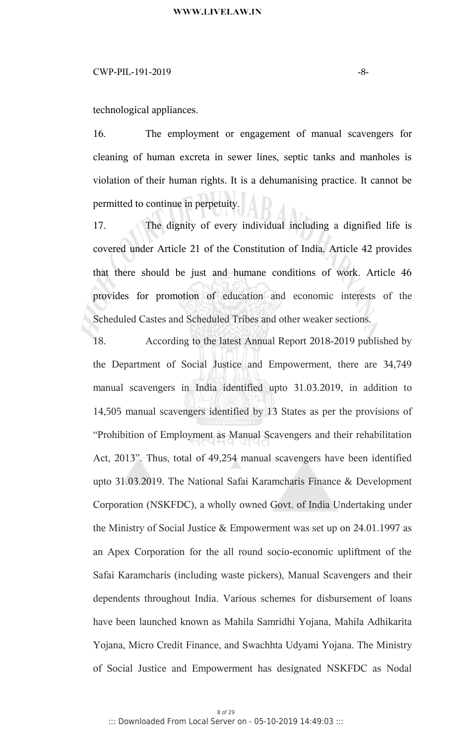# $CWP-PIL-191-2019$   $-8-$

technological appliances.

16. The employment or engagement of manual scavengers for cleaning of human excreta in sewer lines, septic tanks and manholes is violation of their human rights. It is a dehumanising practice. It cannot be permitted to continue in perpetuity.

17. The dignity of every individual including a dignified life is covered under Article 21 of the Constitution of India. Article 42 provides that there should be just and humane conditions of work. Article 46 provides for promotion of education and economic interests of the Scheduled Castes and Scheduled Tribes and other weaker sections.

18. According to the latest Annual Report 2018-2019 published by the Department of Social Justice and Empowerment, there are 34,749 manual scavengers in India identified upto 31.03.2019, in addition to 14,505 manual scavengers identified by 13 States as per the provisions of "Prohibition of Employment as Manual Scavengers and their rehabilitation Act, 2013". Thus, total of 49,254 manual scavengers have been identified upto 31.03.2019. The National Safai Karamcharis Finance & Development Corporation (NSKFDC), a wholly owned Govt. of India Undertaking under the Ministry of Social Justice & Empowerment was set up on 24.01.1997 as an Apex Corporation for the all round socio-economic upliftment of the Safai Karamcharis (including waste pickers), Manual Scavengers and their dependents throughout India. Various schemes for disbursement of loans have been launched known as Mahila Samridhi Yojana, Mahila Adhikarita Yojana, Micro Credit Finance, and Swachhta Udyami Yojana. The Ministry of Social Justice and Empowerment has designated NSKFDC as Nodal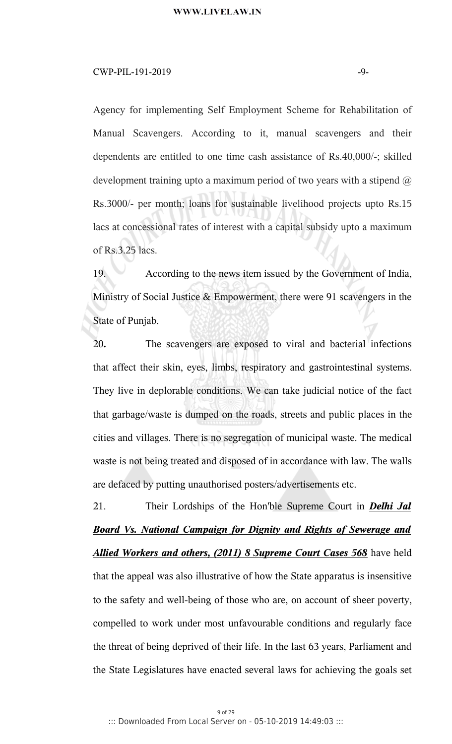# $CWP-PIL-191-2019$   $-9-$

Agency for implementing Self Employment Scheme for Rehabilitation of Manual Scavengers. According to it, manual scavengers and their dependents are entitled to one time cash assistance of Rs.40,000/-; skilled development training upto a maximum period of two years with a stipend  $\omega$ Rs.3000/- per month; loans for sustainable livelihood projects upto Rs.15 lacs at concessional rates of interest with a capital subsidy upto a maximum of Rs.3.25 lacs.

19. According to the news item issued by the Government of India, Ministry of Social Justice & Empowerment, there were 91 scavengers in the State of Punjab.

20**.** The scavengers are exposed to viral and bacterial infections that affect their skin, eyes, limbs, respiratory and gastrointestinal systems. They live in deplorable conditions. We can take judicial notice of the fact that garbage/waste is dumped on the roads, streets and public places in the cities and villages. There is no segregation of municipal waste. The medical waste is not being treated and disposed of in accordance with law. The walls are defaced by putting unauthorised posters/advertisements etc.

21. Their Lordships of the Hon'ble Supreme Court in *Delhi Jal Board Vs. National Campaign for Dignity and Rights of Sewerage and Allied Workers and others, (2011) 8 Supreme Court Cases 568* have held that the appeal was also illustrative of how the State apparatus is insensitive to the safety and well-being of those who are, on account of sheer poverty, compelled to work under most unfavourable conditions and regularly face the threat of being deprived of their life. In the last 63 years, Parliament and the State Legislatures have enacted several laws for achieving the goals set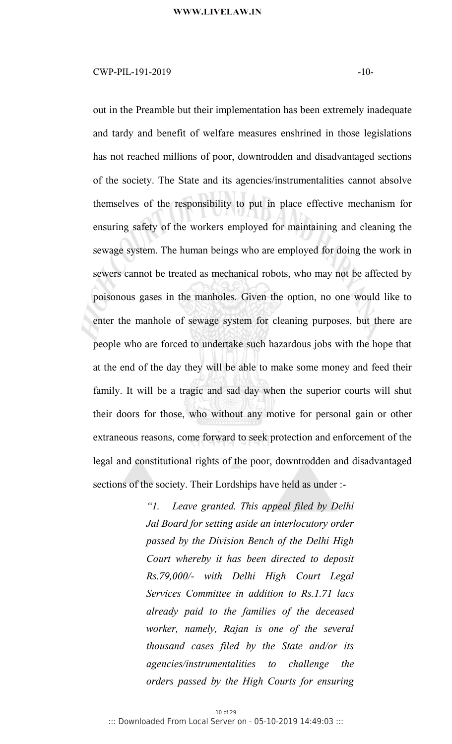# $CWP-PIL-191-2019$   $-10-$

out in the Preamble but their implementation has been extremely inadequate and tardy and benefit of welfare measures enshrined in those legislations has not reached millions of poor, downtrodden and disadvantaged sections of the society. The State and its agencies/instrumentalities cannot absolve themselves of the responsibility to put in place effective mechanism for ensuring safety of the workers employed for maintaining and cleaning the sewage system. The human beings who are employed for doing the work in sewers cannot be treated as mechanical robots, who may not be affected by poisonous gases in the manholes. Given the option, no one would like to enter the manhole of sewage system for cleaning purposes, but there are people who are forced to undertake such hazardous jobs with the hope that at the end of the day they will be able to make some money and feed their family. It will be a tragic and sad day when the superior courts will shut their doors for those, who without any motive for personal gain orother extraneous reasons, come forward to seek protection and enforcement of the legal and constitutional rights of the poor, downtrodden and disadvantaged sections of the society. Their Lordships have held as under :-

> *"1. Leave granted. This appeal filed by Delhi Jal Board for setting aside an interlocutory order passed by the Division Bench of the Delhi High Court whereby it has been directed to deposit Rs.79,000/- with Delhi High Court Legal Services Committee in addition to Rs.1.71 lacs already paid to the families of the deceased worker, namely, Rajan is one of the several thousand cases filed by the State and/or its agencies/instrumentalities to challenge the orders passed by the High Courts for ensuring*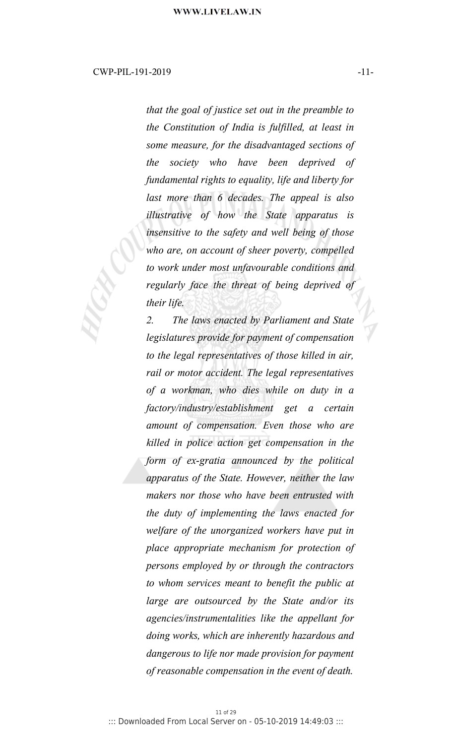*that the goal of justice set out in the preamble to the Constitution of India is fulfilled, at least in some measure, for the disadvantaged sections of the society who have been deprived of fundamental rights to equality, life and liberty for last more than 6 decades. The appeal is also illustrative of how the State apparatus is insensitive to the safety and well being of those who are, on account of sheer poverty, compelled to work under most unfavourable conditions and regularly face the threat of being deprived of their life.*

*2. The laws enacted by Parliament and State legislatures provide for payment of compensation to the legal representatives of those killed in air, rail or motor accident. The legal representatives of a workman, who dies while on duty in a factory/industry/establishment get a certain amount of compensation. Even those who are killed in police action get compensation in the form of ex-gratia announced by the political apparatus of the State. However, neither the law makers nor those who have been entrusted with the duty of implementing the laws enacted for welfare of the unorganized workers have put in place appropriate mechanism for protection of persons employed by or through the contractors to whom services meant to benefit the public at large are outsourced by the State and/or its agencies/instrumentalities like the appellant for doing works, which are inherently hazardous and dangerous to life nor made provision for payment of reasonable compensation in the event of death.*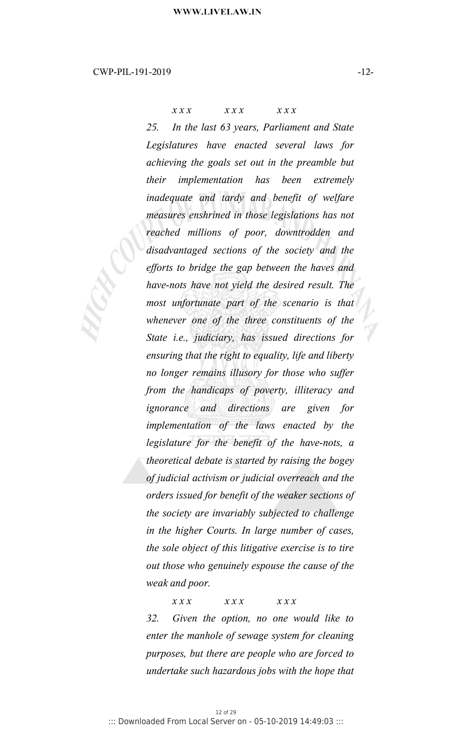*x x x x x x x x x*

*25. In the last 63 years, Parliament and State Legislatures have enacted several laws for achieving the goals set out in the preamble but their implementation has been extremely inadequate and tardy and benefit of welfare measures enshrined in those legislations has not reached millions of poor, downtrodden and disadvantaged sections of the society and the efforts to bridge the gap between the haves and have-nots have not yield the desired result. The most unfortunate part of the scenario is that whenever one of the three constituents of the State i.e., judiciary, has issued directions for ensuring that the right to equality, life and liberty no longer remains illusory for those who suffer from the handicaps of poverty, illiteracy and ignorance and directions are given for implementation of the laws enacted by the legislature for the benefit of the have-nots, a theoretical debate is started by raising the bogey of judicial activism or judicial overreach and the orders issued for benefit of the weaker sections of the society are invariably subjected to challenge in the higher Courts. In large number of cases, the sole object of this litigative exercise is to tire out those who genuinely espouse the cause of the weak and poor.*

*x x x x x x x x x 32. Given the option, no one would like to enter the manhole of sewage system for cleaning purposes, but there are people who are forced to undertake such hazardous jobs with the hope that*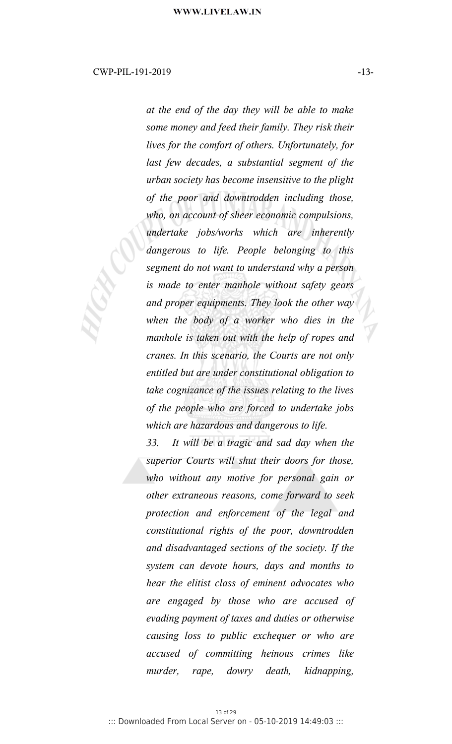*at the end of the day they will be able to make some money and feed their family. They risk their lives for the comfort of others. Unfortunately, for last few decades, a substantial segment of the urban society has become insensitive to the plight of the poor and downtrodden including those, who, on account of sheer economic compulsions, undertake jobs/works which are inherently dangerous to life. People belonging to this segment do not want to understand why a person is made to enter manhole without safety gears and proper equipments. They look the other way when the body of a worker who dies in the manhole is taken outwith the help of ropes and cranes. In this scenario, the Courts are not only entitled but are under constitutional obligation to take cognizance of the issues relating to the lives of the people who are forced to undertake jobs which are hazardous and dangerous to life.*

*33. It will be a tragic and sad day when the superior Courts will shut their doors for those, who without any motive for personal gain or other extraneous reasons, come forward to seek protection and enforcement of the legal and constitutional rights of the poor, downtrodden and disadvantaged sections of the society. If the system can devote hours, days and months to hear the elitist class of eminent advocates who are engaged by those who are accused of evading payment of taxes and duties or otherwise causing loss to public exchequer or who are accused ofcommitting heinous crimes like murder, rape, dowry death, kidnapping,*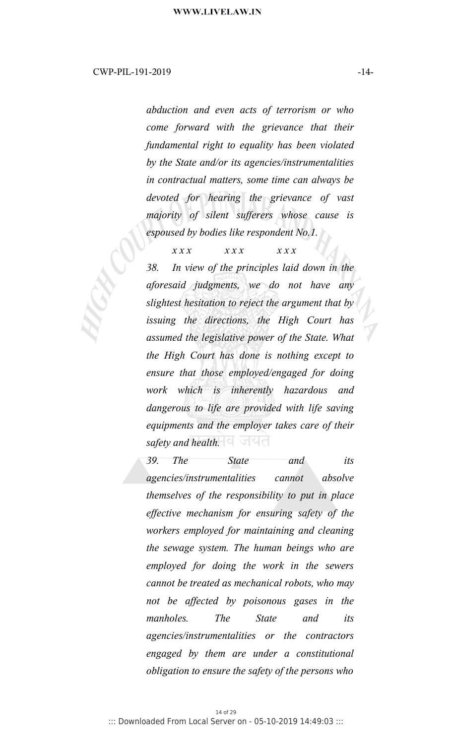*abduction and even acts of terrorism or who come forward with the grievance that their fundamental right to equality has been violated by the State and/or its agencies/instrumentalities in contractual matters, some time can always be devoted for hearing the grievance of vast majority of silent sufferers whose cause is espoused by bodies like respondent No.1.*

*x x x x x x x x x*

*38. In view of the principles laid down in the aforesaid judgments, we do not have any slightest hesitation to reject the argument that by issuing the directions, the High Court has assumed the legislative power of the State. What the High Court has done is nothing except to ensure that those employed/engaged for doing work which is inherently hazardous and dangerous to life are provided with life saving equipments and the employer takes care of their* safety and health. **बिल्ला** 

*39. The State and its agencies/instrumentalities cannot absolve themselves of the responsibility to put in place effective mechanism for ensuring safety of the workers employed for maintaining and cleaning the sewage system. The human beings who are employed for doing the work in the sewers cannot be treated as mechanical robots, who may not be affected by poisonous gases in the manholes. The State and its agencies/instrumentalities or the contractors engaged by them are under a constitutional obligation to ensure the safety of the persons who*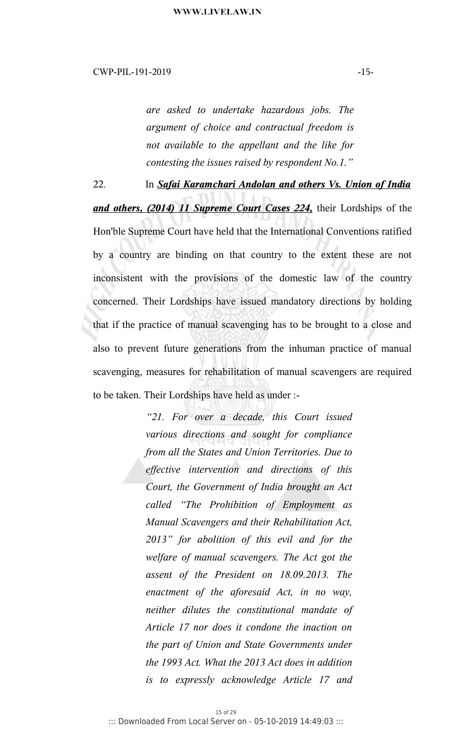*are asked to undertake hazardous jobs. The argument of choice and contractual freedom is not available to the appellant and the like for contesting the issues raised by respondent No.1."*

22. In *Safai Karamchari Andolan and others Vs. Union of India and others, (2014) 11 Supreme Court Cases 224,* their Lordships of the Hon'ble Supreme Court have held that the International Conventions ratified by a country are binding on that country to the extent these are not inconsistent with the provisions of the domestic law of the country concerned. Their Lordships have issued mandatory directions by holding that if the practice of manual scavenging has to be brought to a close and also to prevent future generations from the inhuman practice of manual scavenging, measures for rehabilitation of manual scavengers are required to be taken. Their Lordships have held as under :-

> *"21. For over a decade, this Court issued various directions and sought for compliance from all the States and Union Territories. Due to effective intervention and directions of this Court, the Government of India brought an Act called "The Prohibition ofEmployment as Manual Scavengers and their Rehabilitation Act, 2013" for abolition of this evil and for the welfare ofmanual scavengers. The Act got the assent of the President on 18.09.2013. The enactment of the aforesaid Act, in no way, neither dilutes the constitutional mandate of Article 17 nor does it condone the inaction on the part of Union and State Governments under the 1993 Act.What the 2013 Act does in addition is to expressly acknowledge Article 17 and*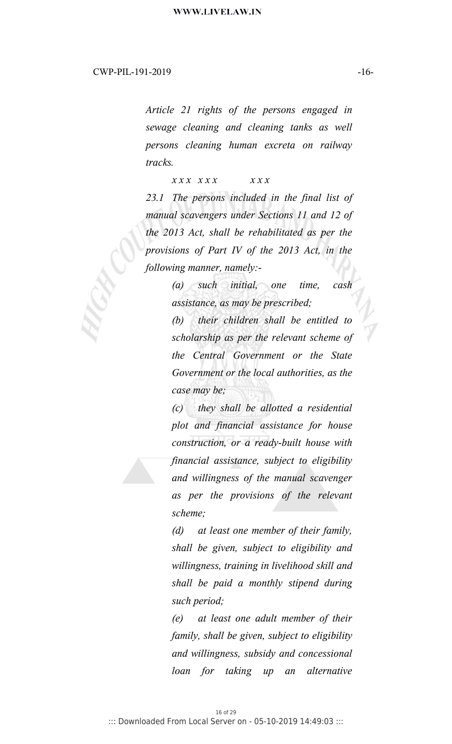*Article 21 rights of the persons engaged in sewage cleaning and cleaning tanks as well persons cleaning human excreta on railway tracks.*

*x x x x x x x x x*

*23.1 The persons included in the final list of manual scavengers under Sections 11 and 12 of the 2013 Act, shall be rehabilitated as per the provisions of Part IV of the 2013 Act, in the following manner, namely:-*

> *(a) such initial, one time, cash assistance, as may be prescribed;*

*(b) their children shall be entitled to scholarship as per the relevant scheme of the Central Government or the State Government or the local authorities, as the case may be;*

*(c) they shall be allotted a residential plot and financial assistance for house construction, or a ready-built house with financial assistance, subject to eligibility and willingness of the manual scavenger as per the provisions of the relevant scheme;*

*(d) at least one member of their family, shall be given, subject to eligibility and willingness, training in livelihood skill and shall be paid a monthly stipend during such period;*

*(e) at least one adult member of their family, shall be given, subject to eligibility and willingness, subsidy and concessional loan for taking up an alternative*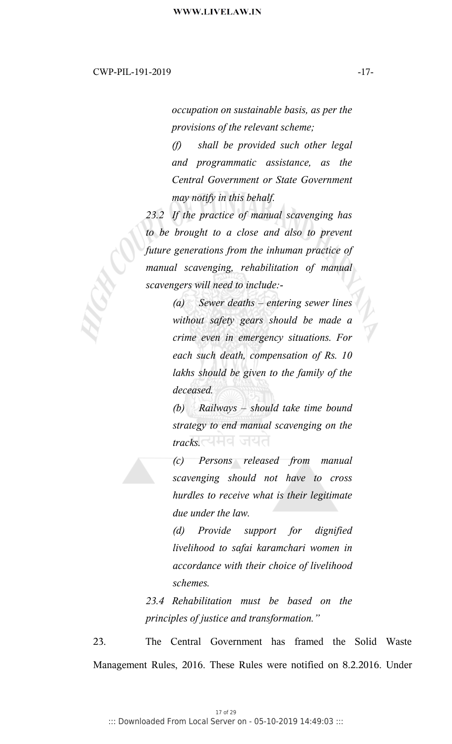*occupation on sustainable basis, as per the provisions of the relevant scheme;*

*(f) shall be provided such other legal and programmatic assistance, as the Central Government or State Government may notify in this behalf.*

23.2 If the practice of manual scavenging has *to be brought to a close and also to prevent future generations from the inhuman practice of manual scavenging, rehabilitation of manual scavengers will need to include:-*

> *(a) Sewer deaths – entering sewer lines without safety gears should be made a crime even in emergency situations. For each such death, compensation of Rs. 10 lakhs should be given to the family of the deceased.*

> *(b) Railways – should take time bound strategy to end manual scavenging on the tracks.*

> *(c) Persons released from manual scavenging should not have to cross hurdles to receive what is their legitimate due under the law.*

> *(d) Provide support for dignified livelihood to safai karamchari women in accordance with their choice of livelihood schemes.*

*23.4 Rehabilitation must be based on the principles of justice and transformation."*

23. The Central Government has framed the Solid Waste Management Rules, 2016. These Rules were notified on 8.2.2016. Under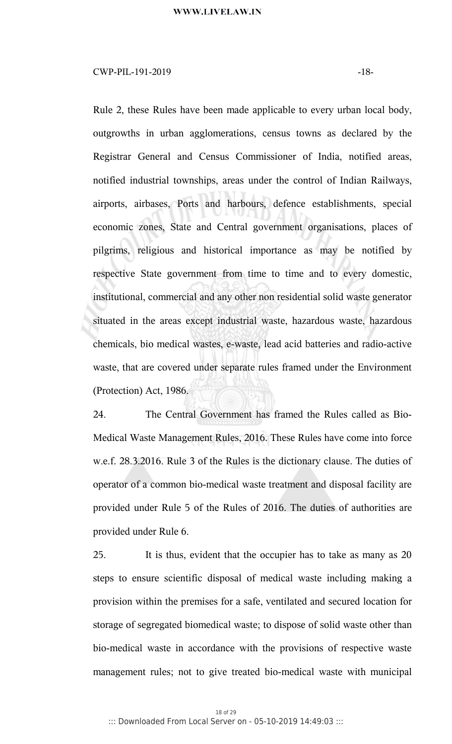# $CWP-PIL-191-2019$   $-18-$

Rule 2, these Rules have been made applicable to every urban local body, outgrowths in urban agglomerations, census towns as declared by the Registrar General and Census Commissioner of India, notified areas, notified industrial townships, areas under the control of Indian Railways, airports, airbases, Ports and harbours, defence establishments, special economic zones, State and Central government organisations, places of pilgrims, religious and historical importance as may be notified by respective State government from time to time and to every domestic, institutional, commercial and any other non residential solid waste generator situated in the areas except industrial waste, hazardous waste, hazardous chemicals, bio medical wastes, e-waste, lead acid batteries and radio-active waste, that are covered under separate rules framed under the Environment (Protection) Act, 1986.

24. The Central Government has framed the Rules called as Bio-Medical Waste Management Rules, 2016. These Rules have come into force w.e.f. 28.3.2016. Rule 3 of the Rules is the dictionary clause. The duties of operator of a common bio-medical waste treatment and disposal facility are provided under Rule 5 of the Rules of 2016. The duties of authorities are provided under Rule 6.

25. It is thus, evident that the occupier has to take as many as 20 steps to ensure scientific disposal of medical waste including making a provision within the premises for a safe, ventilated and secured location for storage of segregated biomedical waste; to dispose of solid waste other than bio-medical waste in accordance with the provisions of respective waste management rules; not to give treated bio-medical waste with municipal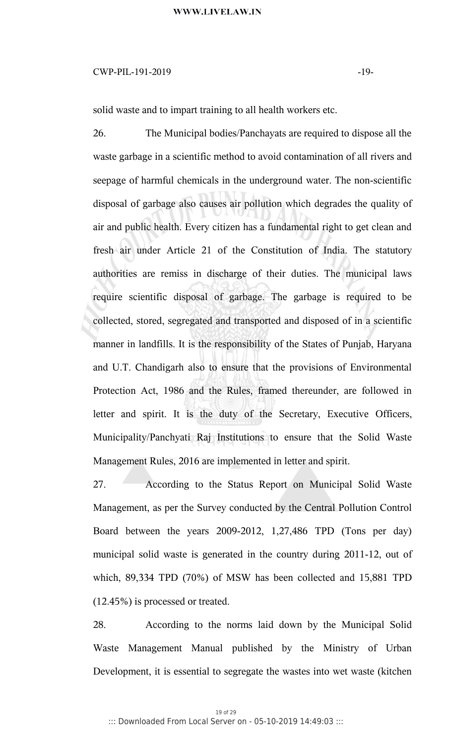# CWP-PIL-191-2019 -19-

solid waste and to impart training to all health workers etc.

26. The Municipal bodies/Panchayats are required to dispose all the waste garbage in a scientific method to avoid contamination of all rivers and seepage of harmful chemicals in the underground water. The non-scientific disposal of garbage also causes air pollution which degrades the quality of air and public health. Every citizen has a fundamental right to get clean and fresh air under Article 21 of the Constitution of India. The statutory authorities are remiss in discharge of their duties. The municipal laws require scientific disposal of garbage. The garbage is required to be collected, stored, segregated and transported and disposed of in a scientific manner in landfills. It is the responsibility of the States of Punjab, Haryana and U.T. Chandigarh also to ensure that the provisions of Environmental Protection Act, 1986 and the Rules, framed thereunder, are followed in letter and spirit. It is the duty of the Secretary, Executive Officers, Municipality/Panchyati Raj Institutions to ensure that the Solid Waste Management Rules, 2016 are implemented in letter and spirit.

27. According to the Status Report on Municipal Solid Waste Management, as per the Survey conducted by the Central Pollution Control Board between the years 2009-2012, 1,27,486 TPD (Tons per day) municipal solid waste is generated in the country during 2011-12, out of which, 89,334 TPD (70%) of MSW has been collected and 15,881 TPD (12.45%) is processed or treated.

28. According to the norms laid down by the Municipal Solid Waste Management Manual published by the Ministry of Urban Development, it is essential to segregate the wastes into wet waste (kitchen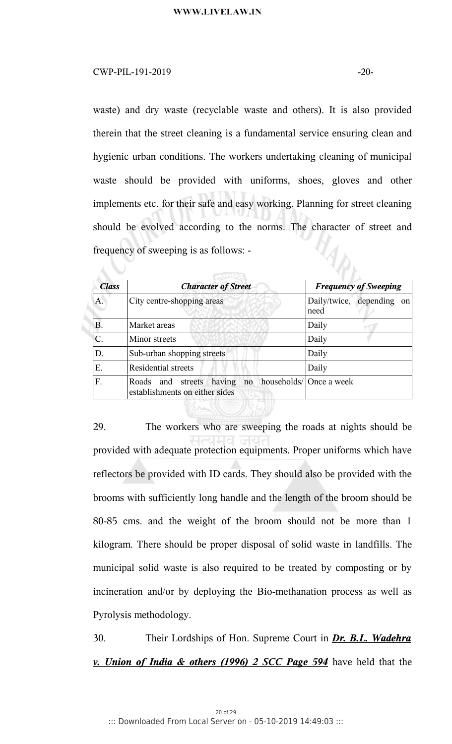#### $CWP-PIL-191-2019$   $-20-20$

Á.

waste) and dry waste (recyclable waste and others). It is also provided therein that the street cleaning is a fundamental service ensuring clean and hygienic urban conditions. The workers undertaking cleaning of municipal waste should be provided with uniforms, shoes, gloves and other implements etc. for their safe and easy working. Planning for street cleaning should be evolved according to the norms. The character of street and  $\mathcal{U}_{\boldsymbol{\phi}_{\boldsymbol{h}}}$ frequency of sweeping is as follows: -

| <b>Class</b> | <b>Character of Street</b>                                          | <b>Frequency of Sweeping</b>      |
|--------------|---------------------------------------------------------------------|-----------------------------------|
| A.           | City centre-shopping areas                                          | Daily/twice, depending on<br>need |
| <b>B.</b>    | Market areas                                                        | Daily                             |
| $\mathsf{C}$ | Minor streets                                                       | Daily                             |
| D.           | Sub-urban shopping streets                                          | Daily                             |
| Ε.           | <b>Residential streets</b>                                          | Daily                             |
| F.           | no<br>Roads and streets<br>having<br>establishments on either sides | households/ Once a week           |

29. The workers who are sweeping the roads at nights should be provided with adequate protection equipments. Proper uniforms which have reflectors be provided with ID cards. They should also be provided with the brooms with sufficiently long handle and the length of the broom should be 80-85 cms. and the weight of the broom should not be more than 1 kilogram. There should be proper disposal of solid waste in landfills. The municipal solid waste is also required to be treated by composting or by incineration and/or by deploying the Bio-methanation process as well as Pyrolysis methodology.

30. Their Lordships of Hon. Supreme Court in *Dr. B.L. Wadehra v. Union of India & others (1996) 2 SCC Page 594* have held that the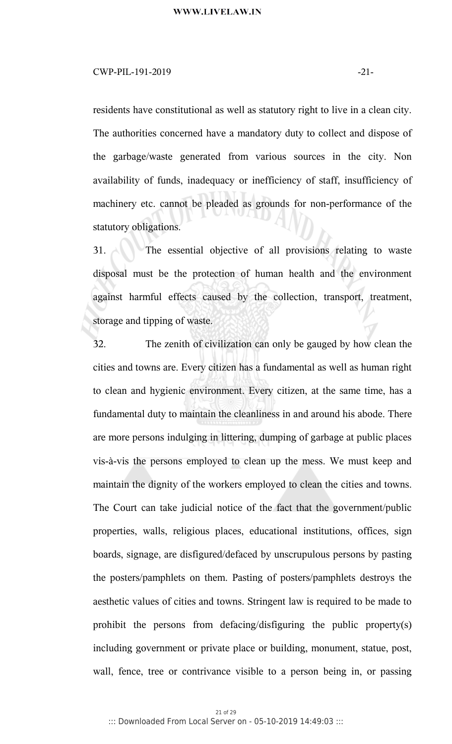### $CWP-PIL-191-2019$   $-21-$

residents have constitutional as well as statutory right to live in a clean city. The authorities concerned have a mandatory duty to collect and dispose of the garbage/waste generated from various sources in the city. Non availability of funds, inadequacy or inefficiency of staff, insufficiency of machinery etc. cannot be pleaded as grounds for non-performance of the statutory obligations.

31. The essential objective of all provisions relating to waste disposal must be the protection of human health and the environment against harmful effects caused by the collection, transport, treatment, storage and tipping of waste.

32. The zenith of civilization can only be gauged by how clean the cities and towns are. Every citizen has a fundamental as well as human right to clean and hygienic environment. Every citizen, at the same time, has a fundamental duty to maintain the cleanliness in and around his abode. There are more persons indulging in littering, dumping of garbage at public places vis-à-vis the persons employed to clean up the mess. We must keep and maintain the dignity of the workers employed to clean the cities and towns. The Court can take judicial notice of the fact that the government/public properties, walls, religious places, educational institutions, offices, sign boards, signage, are disfigured/defaced by unscrupulous persons by pasting the posters/pamphlets on them. Pasting of posters/pamphlets destroys the aesthetic values of cities and towns. Stringent law is required to be made to prohibit the persons from defacing/disfiguring the public property(s) including government or private place or building, monument, statue, post, wall, fence, tree or contrivance visible to a person being in, or passing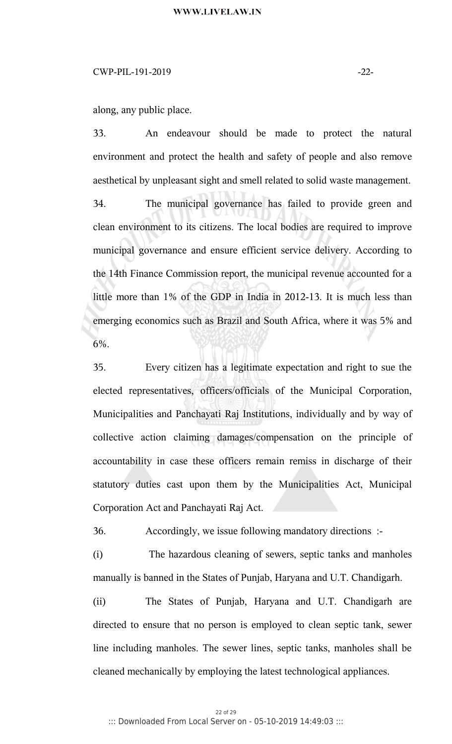# $CWP-PIL-191-2019$   $-22-$

along, any public place.

33. An endeavour should be made to protect the natural environment and protect the health and safety of people and also remove aesthetical by unpleasant sight and smell related to solid waste management. 34. The municipal governance has failed to provide green and clean environment to its citizens. The local bodies are required to improve municipal governance and ensure efficient service delivery. According to the 14th Finance Commission report, the municipal revenue accounted for a little more than 1% of the GDP in India in 2012-13. It is much less than emerging economics such as Brazil and South Africa, where it was 5% and 6%.

35. Every citizen has a legitimate expectation and right to sue the elected representatives, officers/officials of the Municipal Corporation, Municipalities and Panchayati Raj Institutions, individually and by way of collective action claiming damages/compensation on the principle of accountability in case these officers remain remiss in discharge of their statutory duties cast upon them by the Municipalities Act, Municipal Corporation Act and Panchayati Raj Act.

36. Accordingly, we issue following mandatory directions :-

(i) The hazardous cleaning of sewers, septic tanks and manholes manually is banned in the States of Punjab, Haryana and U.T. Chandigarh.

(ii) The States of Punjab, Haryana and U.T. Chandigarh are directed to ensure that no person is employed to clean septic tank, sewer line including manholes. The sewer lines, septic tanks, manholes shall be cleaned mechanically by employing the latest technological appliances.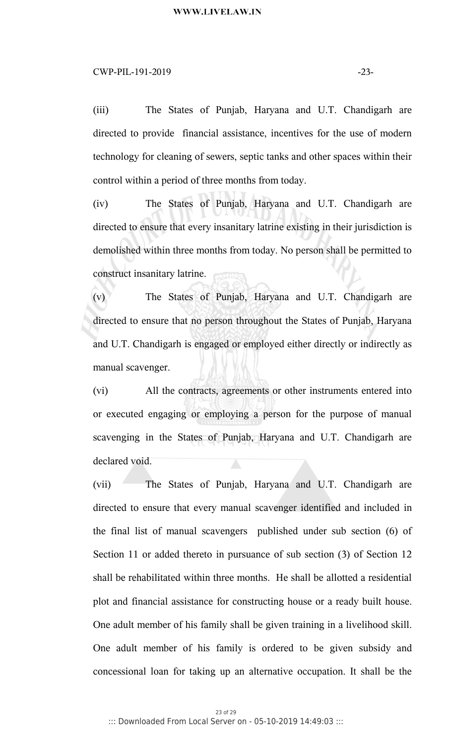### $CWP-PIL-191-2019$   $-23-$

(iii) The States of Punjab, Haryana and U.T. Chandigarh are directed to provide financial assistance, incentives for the use of modern technology for cleaning of sewers, septic tanks and other spaces within their control within a period of three months from today.

(iv) The States of Punjab, Haryana and U.T. Chandigarh are directed to ensure that every insanitary latrine existing in their jurisdiction is demolished within three months from today. No person shall be permitted to construct insanitary latrine.

(v) The States of Punjab, Haryana and U.T. Chandigarh are directed to ensure that no person throughout the States of Punjab, Haryana and U.T. Chandigarh is engaged or employed either directly or indirectly as manual scavenger.

(vi) All the contracts, agreements or other instruments entered into or executed engaging or employing a person for the purpose of manual scavenging in the States of Punjab, Haryana and U.T. Chandigarh are declared void.

(vii) The States of Punjab, Haryana and U.T. Chandigarh are directed to ensure that every manual scavenger identified and included in the final list of manual scavengers published under sub section (6) of Section 11 or added thereto in pursuance of sub section (3) of Section 12 shall be rehabilitated within three months. He shall be allotted a residential plot and financial assistance for constructing house or a ready built house. One adult member of his family shall be given training in a livelihood skill. One adult member of his family is ordered to be given subsidy and concessional loan for taking up an alternative occupation. It shall be the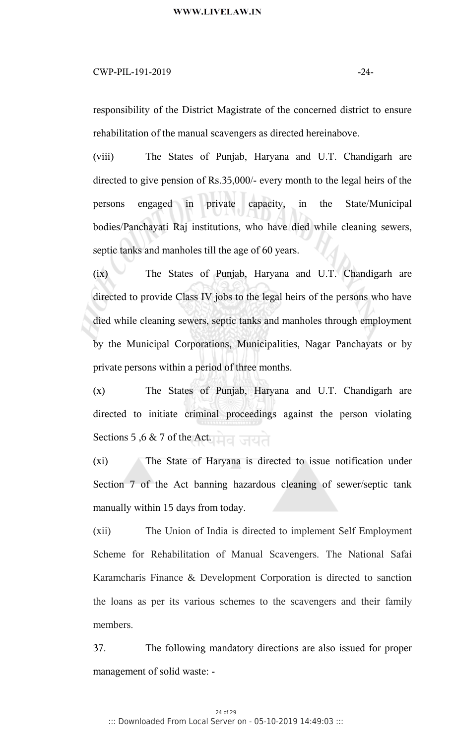# $CWP-PIL-191-2019$   $-24-$

responsibility of the District Magistrate of the concerned district to ensure rehabilitation of the manual scavengers as directed hereinabove.

(viii) The States of Punjab, Haryana and U.T. Chandigarh are directed to give pension of Rs.35,000/- every month to the legal heirs of the persons engaged in private capacity, in the State/Municipal bodies/Panchayati Raj institutions, who have died while cleaning sewers, septic tanks and manholes till the age of 60 years.

(ix) The States of Punjab, Haryana and U.T. Chandigarh are directed to provide Class IV jobs to the legal heirs of the persons who have died while cleaning sewers, septic tanks and manholes through employment by the Municipal Corporations, Municipalities, Nagar Panchayats or by private persons within a period of three months.

(x) The States of Punjab, Haryana and U.T. Chandigarh are directed to initiate criminal proceedings against the person violating Sections 5,6 & 7 of the Act.

(xi) The State of Haryana is directed to issue notification under Section 7 of the Act banning hazardous cleaning of sewer/septic tank manually within 15 days from today.

(xii) The Union of India is directed to implement Self Employment Scheme for Rehabilitation of Manual Scavengers. The National Safai Karamcharis Finance & Development Corporation is directed to sanction the loans as per its various schemes to the scavengers and their family members.

37. The following mandatory directions are also issued for proper management of solid waste: -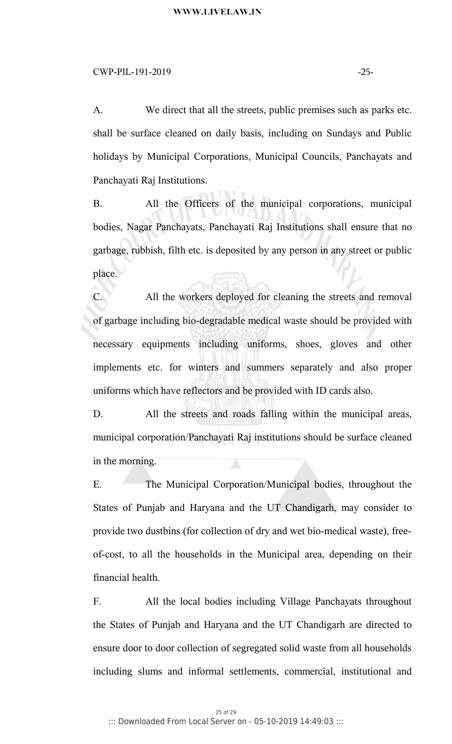#### $CWP-PIL-191-2019$   $-25-$

A. We direct that all the streets, public premises such as parks etc. shall be surface cleaned on daily basis, including on Sundays and Public holidays by Municipal Corporations, Municipal Councils, Panchayats and Panchayati Raj Institutions.

B. All the Officers of the municipal corporations, municipal bodies, Nagar Panchayats, Panchayati Raj Institutions shall ensure that no garbage, rubbish, filth etc. is deposited by any person in any street or public place.

C. All the workers deployed for cleaning the streets and removal of garbage including bio-degradable medical waste should be provided with necessary equipments including uniforms, shoes, gloves and other implements etc. for winters and summers separately and also proper uniforms which have reflectors and be provided with ID cards also.

D. All the streets and roads falling within the municipal areas, municipal corporation/Panchayati Raj institutions should be surface cleaned in the morning.

E. The Municipal Corporation/Municipal bodies, throughout the States of Punjab and Haryana and the UT Chandigarh, may consider to provide two dustbins (for collection of dry and wet bio-medical waste), freeof-cost, to all the households in the Municipal area, depending on their financial health.

F. All the local bodies including Village Panchayats throughout the States of Punjab and Haryana and the UT Chandigarh are directed to ensure door to door collection of segregated solid waste from all households including slums and informal settlements, commercial, institutional and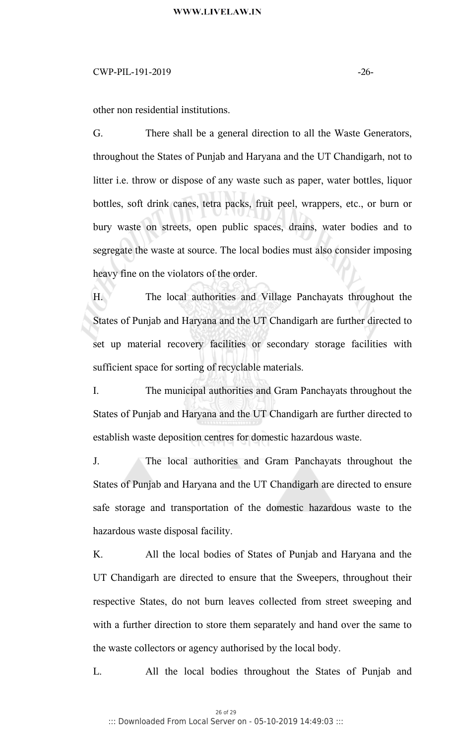# WWW.LIVELAW.IN

# $CWP-PIL-191-2019$   $-26-$

other non residential institutions.

G. There shall be a general direction to all the Waste Generators, throughout the States of Punjab and Haryana and the UT Chandigarh, not to litter i.e. throw or dispose of any waste such as paper, water bottles, liquor bottles, soft drink canes, tetra packs, fruit peel, wrappers, etc., or burn or bury waste on streets, open public spaces, drains, water bodies and to segregate the waste at source. The local bodies must also consider imposing heavy fine on the violators of the order.

H. The local authorities and Village Panchayats throughout the States of Punjab and Haryana and the UT Chandigarh are further directed to set up material recovery facilities or secondary storage facilities with sufficient space for sorting of recyclable materials.

I. The municipal authorities and Gram Panchayats throughout the States of Punjab and Haryana and the UT Chandigarh are further directed to establish waste deposition centres for domestic hazardous waste.

J. The local authorities and Gram Panchayats throughout the States of Punjab and Haryana and the UT Chandigarh are directed to ensure safe storage and transportation of the domestic hazardous waste to the hazardous waste disposal facility.

K. All the local bodies of States of Punjab and Haryana and the UT Chandigarh are directed to ensure that the Sweepers, throughout their respective States, do not burn leaves collected from street sweeping and with a further direction to store them separately and hand over the same to the waste collectors or agency authorised by the local body.

L. All the local bodies throughout the States of Punjab and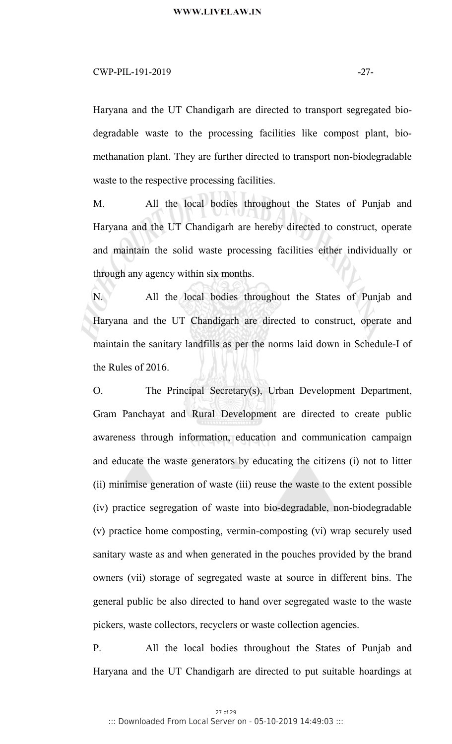### $CWP-PIL-191-2019$   $-27-$

Haryana and the UT Chandigarh are directed to transport segregated biodegradable waste to the processing facilities like compost plant, biomethanation plant. They are further directed to transport non-biodegradable waste to the respective processing facilities.

M. All the local bodies throughout the States of Punjab and Haryana and the UT Chandigarh are hereby directed to construct, operate and maintain the solid waste processing facilities either individually or through any agency within six months.

N. All the local bodies throughout the States of Punjab and Haryana and the UT Chandigarh are directed to construct, operate and maintain the sanitary landfills as per the norms laid down in Schedule-I of the Rules of 2016.

O. The Principal Secretary(s), Urban Development Department, Gram Panchayat and Rural Development are directed to create public awareness through information, education and communication campaign and educate the waste generators by educating the citizens (i) not to litter (ii) minimise generation of waste (iii) reuse the waste to the extent possible (iv) practice segregation of waste into bio-degradable, non-biodegradable (v) practice home composting, vermin-composting (vi) wrap securely used sanitary waste as and when generated in the pouches provided by the brand owners (vii) storage of segregated waste at source in different bins. The general public be also directed to hand over segregated waste to the waste pickers, waste collectors, recyclers or waste collection agencies.

P. All the local bodies throughout the States of Punjab and Haryana and the UT Chandigarh are directed to put suitable hoardings at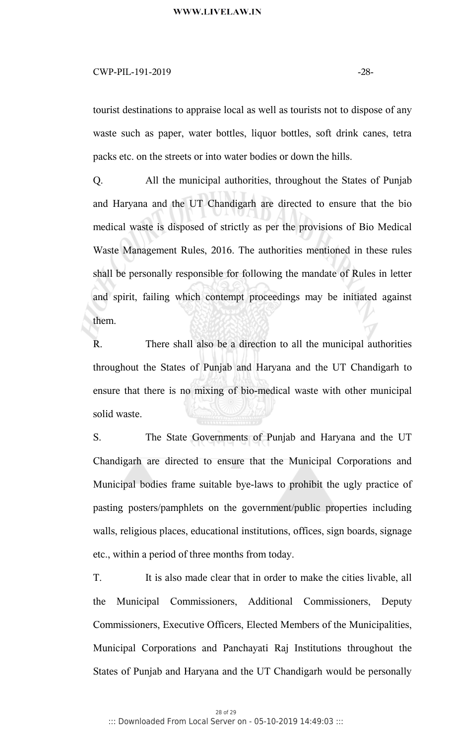# WWW.LIVELAW.IN

### $CWP-PIL-191-2019$   $-28-$

tourist destinations to appraise local as well as tourists not to dispose of any waste such as paper, water bottles, liquor bottles, soft drink canes, tetra packs etc. on the streets or into water bodies or down the hills.

Q. All the municipal authorities, throughout the States of Punjab and Haryana and the UT Chandigarh are directed to ensure that the bio medical waste is disposed of strictly as per the provisions of Bio Medical Waste Management Rules, 2016. The authorities mentioned in these rules shall be personally responsible for following the mandate of Rules in letter and spirit, failing which contempt proceedings may be initiated against them.

R. There shall also be a direction to all the municipal authorities throughout the States of Punjab and Haryana and the UT Chandigarh to ensure that there is no mixing of bio-medical waste with other municipal solid waste.

S. The State Governments of Punjab and Haryana and the UT Chandigarh are directed to ensure that the Municipal Corporations and Municipal bodies frame suitable bye-laws to prohibit the ugly practice of pasting posters/pamphlets on the government/public properties including walls, religious places, educational institutions, offices, sign boards, signage etc., within a period of three months from today.

T. It is also made clear that in order to make the cities livable, all the Municipal Commissioners, Additional Commissioners, Deputy Commissioners, Executive Officers, Elected Members of the Municipalities, Municipal Corporations and Panchayati Raj Institutions throughout the States of Punjab and Haryana and the UT Chandigarh would be personally